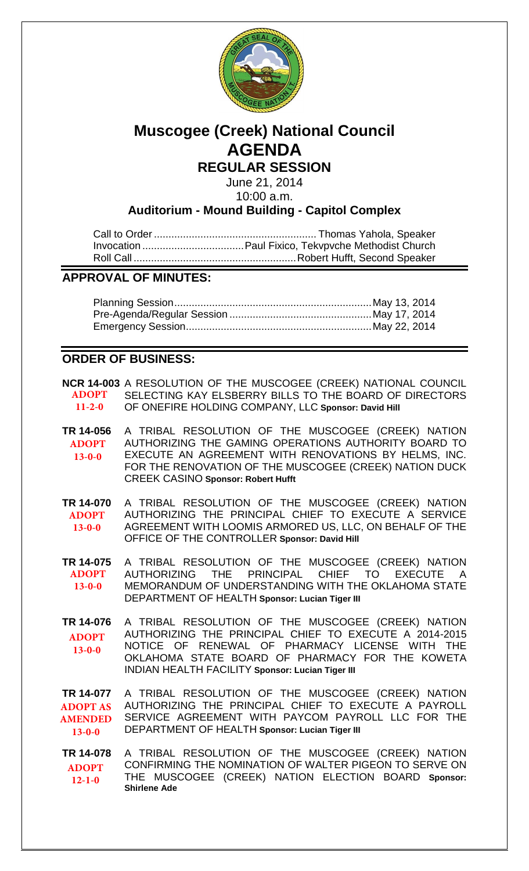

# **Muscogee (Creek) National Council AGENDA**

**REGULAR SESSION**

June 21, 2014 10:00 a.m.

**Auditorium - Mound Building - Capitol Complex**

**APPROVAL OF MINUTES:**

# **ORDER OF BUSINESS:**

**NCR 14-003** A RESOLUTION OF THE MUSCOGEE (CREEK) NATIONAL COUNCIL SELECTING KAY ELSBERRY BILLS TO THE BOARD OF DIRECTORS OF ONEFIRE HOLDING COMPANY, LLC **Sponsor: David Hill ADOPT 11-2-0**

- **TR 14-056** A TRIBAL RESOLUTION OF THE MUSCOGEE (CREEK) NATION AUTHORIZING THE GAMING OPERATIONS AUTHORITY BOARD TO EXECUTE AN AGREEMENT WITH RENOVATIONS BY HELMS, INC. FOR THE RENOVATION OF THE MUSCOGEE (CREEK) NATION DUCK CREEK CASINO **Sponsor: Robert Hufft ADOPT 13-0-0**
- **TR 14-070** A TRIBAL RESOLUTION OF THE MUSCOGEE (CREEK) NATION AUTHORIZING THE PRINCIPAL CHIEF TO EXECUTE A SERVICE AGREEMENT WITH LOOMIS ARMORED US, LLC, ON BEHALF OF THE OFFICE OF THE CONTROLLER **Sponsor: David Hill ADOPT 13-0-0**
- **TR 14-075** A TRIBAL RESOLUTION OF THE MUSCOGEE (CREEK) NATION AUTHORIZING THE PRINCIPAL CHIEF TO EXECUTE A MEMORANDUM OF UNDERSTANDING WITH THE OKLAHOMA STATE DEPARTMENT OF HEALTH **Sponsor: Lucian Tiger III ADOPT 13-0-0**
- **TR 14-076** A TRIBAL RESOLUTION OF THE MUSCOGEE (CREEK) NATION AUTHORIZING THE PRINCIPAL CHIEF TO EXECUTE A 2014-2015 NOTICE OF RENEWAL OF PHARMACY LICENSE WITH THE OKLAHOMA STATE BOARD OF PHARMACY FOR THE KOWETA INDIAN HEALTH FACILITY **Sponsor: Lucian Tiger III ADOPT 13-0-0**

**TR 14-077** A TRIBAL RESOLUTION OF THE MUSCOGEE (CREEK) NATION AUTHORIZING THE PRINCIPAL CHIEF TO EXECUTE A PAYROLL SERVICE AGREEMENT WITH PAYCOM PAYROLL LLC FOR THE DEPARTMENT OF HEALTH **Sponsor: Lucian Tiger III ADOPT AS AMENDED 13-0-0**

**TR 14-078** A TRIBAL RESOLUTION OF THE MUSCOGEE (CREEK) NATION CONFIRMING THE NOMINATION OF WALTER PIGEON TO SERVE ON THE MUSCOGEE (CREEK) NATION ELECTION BOARD **Sponsor: Shirlene Ade ADOPT 12-1-0**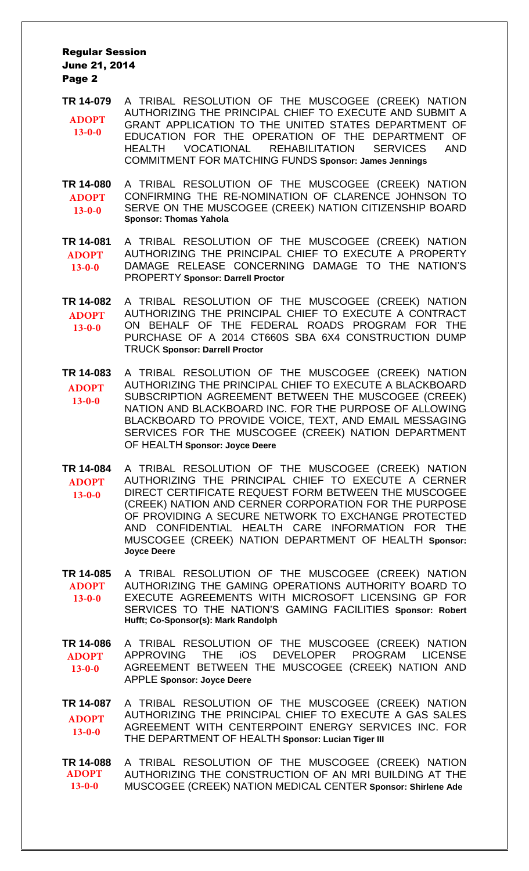- **TR 14-079** A TRIBAL RESOLUTION OF THE MUSCOGEE (CREEK) NATION AUTHORIZING THE PRINCIPAL CHIEF TO EXECUTE AND SUBMIT A GRANT APPLICATION TO THE UNITED STATES DEPARTMENT OF EDUCATION FOR THE OPERATION OF THE DEPARTMENT OF HEALTH VOCATIONAL REHABILITATION SERVICES AND COMMITMENT FOR MATCHING FUNDS **Sponsor: James Jennings ADOPT 13-0-0**
- **TR 14-080** A TRIBAL RESOLUTION OF THE MUSCOGEE (CREEK) NATION CONFIRMING THE RE-NOMINATION OF CLARENCE JOHNSON TO SERVE ON THE MUSCOGEE (CREEK) NATION CITIZENSHIP BOARD **Sponsor: Thomas Yahola ADOPT 13-0-0**
- **TR 14-081** A TRIBAL RESOLUTION OF THE MUSCOGEE (CREEK) NATION AUTHORIZING THE PRINCIPAL CHIEF TO EXECUTE A PROPERTY DAMAGE RELEASE CONCERNING DAMAGE TO THE NATION'S PROPERTY **Sponsor: Darrell Proctor ADOPT 13-0-0**
- **TR 14-082** A TRIBAL RESOLUTION OF THE MUSCOGEE (CREEK) NATION AUTHORIZING THE PRINCIPAL CHIEF TO EXECUTE A CONTRACT ON BEHALF OF THE FEDERAL ROADS PROGRAM FOR THE PURCHASE OF A 2014 CT660S SBA 6X4 CONSTRUCTION DUMP TRUCK **Sponsor: Darrell Proctor ADOPT 13-0-0**
- **TR 14-083** A TRIBAL RESOLUTION OF THE MUSCOGEE (CREEK) NATION AUTHORIZING THE PRINCIPAL CHIEF TO EXECUTE A BLACKBOARD SUBSCRIPTION AGREEMENT BETWEEN THE MUSCOGEE (CREEK) NATION AND BLACKBOARD INC. FOR THE PURPOSE OF ALLOWING BLACKBOARD TO PROVIDE VOICE, TEXT, AND EMAIL MESSAGING SERVICES FOR THE MUSCOGEE (CREEK) NATION DEPARTMENT OF HEALTH **Sponsor: Joyce Deere ADOPT 13-0-0**
- **TR 14-084** A TRIBAL RESOLUTION OF THE MUSCOGEE (CREEK) NATION AUTHORIZING THE PRINCIPAL CHIEF TO EXECUTE A CERNER DIRECT CERTIFICATE REQUEST FORM BETWEEN THE MUSCOGEE (CREEK) NATION AND CERNER CORPORATION FOR THE PURPOSE OF PROVIDING A SECURE NETWORK TO EXCHANGE PROTECTED AND CONFIDENTIAL HEALTH CARE INFORMATION FOR THE MUSCOGEE (CREEK) NATION DEPARTMENT OF HEALTH **Sponsor: Joyce Deere ADOPT 13-0-0**
- **TR 14-085** A TRIBAL RESOLUTION OF THE MUSCOGEE (CREEK) NATION AUTHORIZING THE GAMING OPERATIONS AUTHORITY BOARD TO EXECUTE AGREEMENTS WITH MICROSOFT LICENSING GP FOR SERVICES TO THE NATION'S GAMING FACILITIES **Sponsor: Robert Hufft; Co-Sponsor(s): Mark Randolph ADOPT 13-0-0**
- **TR 14-086** A TRIBAL RESOLUTION OF THE MUSCOGEE (CREEK) NATION APPROVING THE iOS DEVELOPER PROGRAM LICENSE AGREEMENT BETWEEN THE MUSCOGEE (CREEK) NATION AND APPLE **Sponsor: Joyce Deere ADOPT 13-0-0**

**TR 14-087** A TRIBAL RESOLUTION OF THE MUSCOGEE (CREEK) NATION AUTHORIZING THE PRINCIPAL CHIEF TO EXECUTE A GAS SALES AGREEMENT WITH CENTERPOINT ENERGY SERVICES INC. FOR THE DEPARTMENT OF HEALTH **Sponsor: Lucian Tiger III ADOPT 13-0-0**

**TR 14-088** A TRIBAL RESOLUTION OF THE MUSCOGEE (CREEK) NATION AUTHORIZING THE CONSTRUCTION OF AN MRI BUILDING AT THE MUSCOGEE (CREEK) NATION MEDICAL CENTER **Sponsor: Shirlene Ade ADOPT 13-0-0**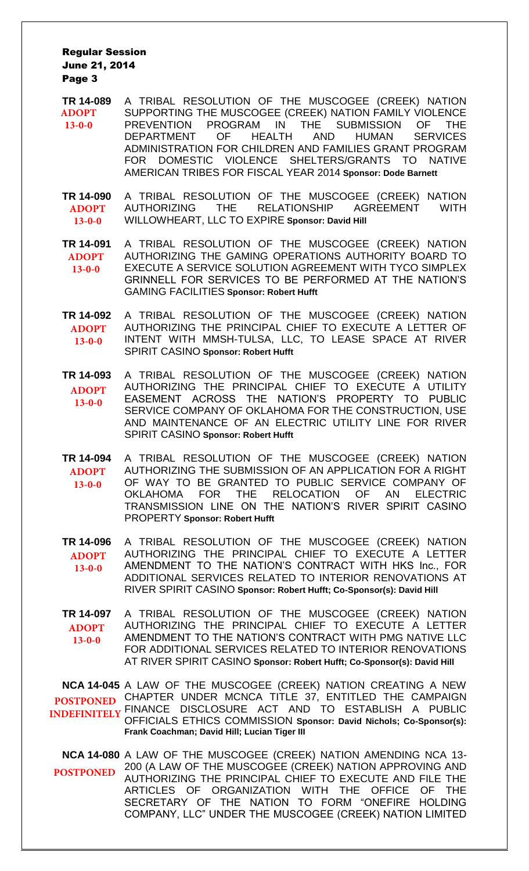- **TR 14-089** A TRIBAL RESOLUTION OF THE MUSCOGEE (CREEK) NATION SUPPORTING THE MUSCOGEE (CREEK) NATION FAMILY VIOLENCE PREVENTION PROGRAM IN THE SUBMISSION OF THE DEPARTMENT OF HEALTH AND HUMAN SERVICES ADMINISTRATION FOR CHILDREN AND FAMILIES GRANT PROGRAM FOR DOMESTIC VIOLENCE SHELTERS/GRANTS TO NATIVE AMERICAN TRIBES FOR FISCAL YEAR 2014 **Sponsor: Dode Barnett ADOPT 13-0-0**
- **TR 14-090** A TRIBAL RESOLUTION OF THE MUSCOGEE (CREEK) NATION AUTHORIZING THE RELATIONSHIP AGREEMENT WITH WILLOWHEART, LLC TO EXPIRE **Sponsor: David Hill ADOPT 13-0-0**
- **TR 14-091** A TRIBAL RESOLUTION OF THE MUSCOGEE (CREEK) NATION AUTHORIZING THE GAMING OPERATIONS AUTHORITY BOARD TO EXECUTE A SERVICE SOLUTION AGREEMENT WITH TYCO SIMPLEX GRINNELL FOR SERVICES TO BE PERFORMED AT THE NATION'S GAMING FACILITIES **Sponsor: Robert Hufft ADOPT 13-0-0**
- **TR 14-092** A TRIBAL RESOLUTION OF THE MUSCOGEE (CREEK) NATION AUTHORIZING THE PRINCIPAL CHIEF TO EXECUTE A LETTER OF INTENT WITH MMSH-TULSA, LLC, TO LEASE SPACE AT RIVER SPIRIT CASINO **Sponsor: Robert Hufft ADOPT 13-0-0**
- **TR 14-093** A TRIBAL RESOLUTION OF THE MUSCOGEE (CREEK) NATION AUTHORIZING THE PRINCIPAL CHIEF TO EXECUTE A UTILITY EASEMENT ACROSS THE NATION'S PROPERTY TO PUBLIC SERVICE COMPANY OF OKLAHOMA FOR THE CONSTRUCTION, USE AND MAINTENANCE OF AN ELECTRIC UTILITY LINE FOR RIVER SPIRIT CASINO **Sponsor: Robert Hufft ADOPT 13-0-0**
- **TR 14-094** A TRIBAL RESOLUTION OF THE MUSCOGEE (CREEK) NATION AUTHORIZING THE SUBMISSION OF AN APPLICATION FOR A RIGHT OF WAY TO BE GRANTED TO PUBLIC SERVICE COMPANY OF OKLAHOMA FOR THE RELOCATION OF AN ELECTRIC TRANSMISSION LINE ON THE NATION'S RIVER SPIRIT CASINO PROPERTY **Sponsor: Robert Hufft ADOPT 13-0-0**
- **TR 14-096** A TRIBAL RESOLUTION OF THE MUSCOGEE (CREEK) NATION AUTHORIZING THE PRINCIPAL CHIEF TO EXECUTE A LETTER AMENDMENT TO THE NATION'S CONTRACT WITH HKS Inc., FOR ADDITIONAL SERVICES RELATED TO INTERIOR RENOVATIONS AT RIVER SPIRIT CASINO **Sponsor: Robert Hufft; Co-Sponsor(s): David Hill ADOPT 13-0-0**
- **TR 14-097** A TRIBAL RESOLUTION OF THE MUSCOGEE (CREEK) NATION AUTHORIZING THE PRINCIPAL CHIEF TO EXECUTE A LETTER AMENDMENT TO THE NATION'S CONTRACT WITH PMG NATIVE LLC FOR ADDITIONAL SERVICES RELATED TO INTERIOR RENOVATIONS AT RIVER SPIRIT CASINO **Sponsor: Robert Hufft; Co-Sponsor(s): David Hill ADOPT 13-0-0**

**NCA 14-045** A LAW OF THE MUSCOGEE (CREEK) NATION CREATING A NEW POSTPONED CHAPTER UNDER MCNCA TITLE 37, ENTITLED THE CAMPAIGN FINANCE DISCLOSURE ACT AND TO ESTABLISH A PUBLIC OFFICIALS ETHICS COMMISSION **Sponsor: David Nichols; Co-Sponsor(s): Frank Coachman; David Hill; Lucian Tiger III POSTPONED INDEFINITELY**

**NCA 14-080** A LAW OF THE MUSCOGEE (CREEK) NATION AMENDING NCA 13- 200 (A LAW OF THE MUSCOGEE (CREEK) NATION APPROVING AND AUTHORIZING THE PRINCIPAL CHIEF TO EXECUTE AND FILE THE ARTICLES OF ORGANIZATION WITH THE OFFICE OF THE SECRETARY OF THE NATION TO FORM "ONEFIRE HOLDING COMPANY, LLC" UNDER THE MUSCOGEE (CREEK) NATION LIMITED **POSTPONED**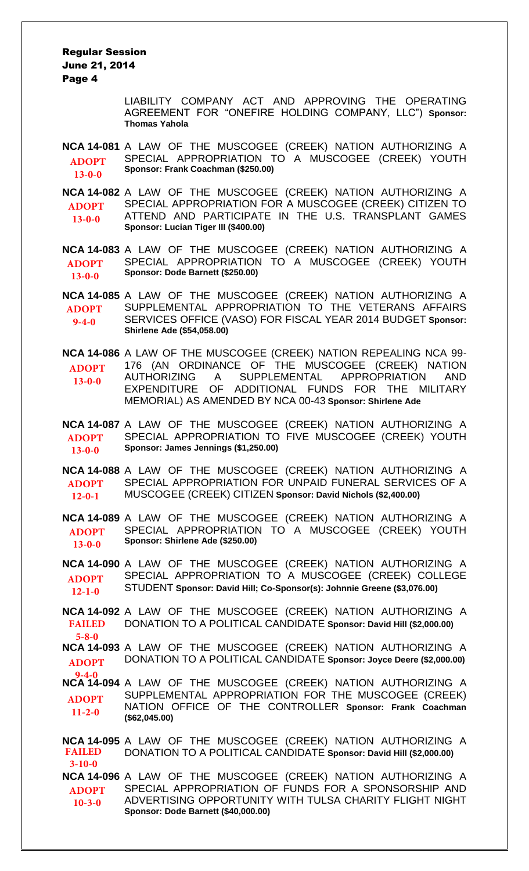> LIABILITY COMPANY ACT AND APPROVING THE OPERATING AGREEMENT FOR "ONEFIRE HOLDING COMPANY, LLC") **Sponsor: Thomas Yahola**

**NCA 14-081** A LAW OF THE MUSCOGEE (CREEK) NATION AUTHORIZING A SPECIAL APPROPRIATION TO A MUSCOGEE (CREEK) YOUTH **Sponsor: Frank Coachman (\$250.00) ADOPT 13-0-0**

**NCA 14-082** A LAW OF THE MUSCOGEE (CREEK) NATION AUTHORIZING A SPECIAL APPROPRIATION FOR A MUSCOGEE (CREEK) CITIZEN TO ATTEND AND PARTICIPATE IN THE U.S. TRANSPLANT GAMES **Sponsor: Lucian Tiger III (\$400.00) ADOPT 13-0-0**

**NCA 14-083** A LAW OF THE MUSCOGEE (CREEK) NATION AUTHORIZING A SPECIAL APPROPRIATION TO A MUSCOGEE (CREEK) YOUTH **Sponsor: Dode Barnett (\$250.00) ADOPT 13-0-0**

**NCA 14-085** A LAW OF THE MUSCOGEE (CREEK) NATION AUTHORIZING A SUPPLEMENTAL APPROPRIATION TO THE VETERANS AFFAIRS SERVICES OFFICE (VASO) FOR FISCAL YEAR 2014 BUDGET **Sponsor: Shirlene Ade (\$54,058.00) ADOPT 9-4-0**

**NCA 14-086** A LAW OF THE MUSCOGEE (CREEK) NATION REPEALING NCA 99- 176 (AN ORDINANCE OF THE MUSCOGEE (CREEK) NATION AUTHORIZING A SUPPLEMENTAL APPROPRIATION AND<br>EXPENDITURE OF ADDITIONAL FUNDS FOR THE MILITARY ADDITIONAL FUNDS FOR THE MILITARY MEMORIAL) AS AMENDED BY NCA 00-43 **Sponsor: Shirlene Ade ADOPT 13-0-0**

**NCA 14-087** A LAW OF THE MUSCOGEE (CREEK) NATION AUTHORIZING A SPECIAL APPROPRIATION TO FIVE MUSCOGEE (CREEK) YOUTH **Sponsor: James Jennings (\$1,250.00) ADOPT 13-0-0**

**NCA 14-088** A LAW OF THE MUSCOGEE (CREEK) NATION AUTHORIZING A SPECIAL APPROPRIATION FOR UNPAID FUNERAL SERVICES OF A MUSCOGEE (CREEK) CITIZEN **Sponsor: David Nichols (\$2,400.00) ADOPT 12-0-1**

**NCA 14-089** A LAW OF THE MUSCOGEE (CREEK) NATION AUTHORIZING A SPECIAL APPROPRIATION TO A MUSCOGEE (CREEK) YOUTH **Sponsor: Shirlene Ade (\$250.00) ADOPT 13-0-0**

**NCA 14-090** A LAW OF THE MUSCOGEE (CREEK) NATION AUTHORIZING A SPECIAL APPROPRIATION TO A MUSCOGEE (CREEK) COLLEGE STUDENT **Sponsor: David Hill; Co-Sponsor(s): Johnnie Greene (\$3,076.00) ADOPT 12-1-0**

**NCA 14-092** A LAW OF THE MUSCOGEE (CREEK) NATION AUTHORIZING A DONATION TO A POLITICAL CANDIDATE **Sponsor: David Hill (\$2,000.00) FAILED 5-8-0**

**NCA 14-093** A LAW OF THE MUSCOGEE (CREEK) NATION AUTHORIZING A DONATION TO A POLITICAL CANDIDATE **Sponsor: Joyce Deere (\$2,000.00) ADOPT**

**NCA 14-094** A LAW OF THE MUSCOGEE (CREEK) NATION AUTHORIZING A SUPPLEMENTAL APPROPRIATION FOR THE MUSCOGEE (CREEK) NATION OFFICE OF THE CONTROLLER **Sponsor: Frank Coachman (\$62,045.00) 9-4-0 ADOPT 11-2-0**

**NCA 14-095** A LAW OF THE MUSCOGEE (CREEK) NATION AUTHORIZING A DONATION TO A POLITICAL CANDIDATE **Sponsor: David Hill (\$2,000.00) NCA 14-096** A LAW OF THE MUSCOGEE (CREEK) NATION AUTHORIZING A SPECIAL APPROPRIATION OF FUNDS FOR A SPONSORSHIP AND ADVERTISING OPPORTUNITY WITH TULSA CHARITY FLIGHT NIGHT **Sponsor: Dode Barnett (\$40,000.00) FAILED 3-10-0 ADOPT 10-3-0**